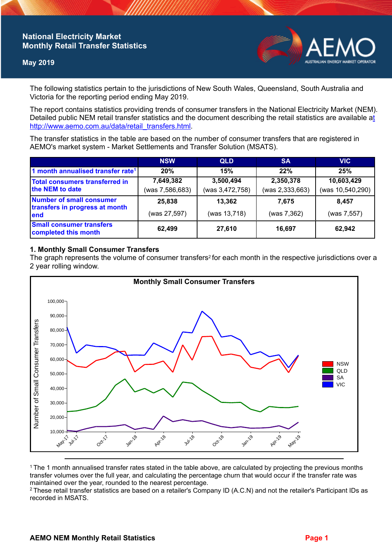## **National Electricity Market Monthly Retail Transfer Statistics**

### **May 2019**



The following statistics pertain to the jurisdictions of New South Wales, Queensland, South Australia and Victoria for the reporting period ending May 2019.

The report contains statistics providing trends of consumer transfers in the National Electricity Market (NEM). Detailed public NEM retail transfer statistics and the document describing the retail statistics are available a[t](http://www.aemo.com.au/data/retail_transfers.html)  http://www.aemo.com.au/data/retail\_transfers.html

The transfer statistics in the table are based on the number of consumer transfers that are registered in AEMO's market system - Market Settlements and Transfer Solution (MSATS).

|                                                                    | <b>NSW</b>                   | <b>QLD</b>                   | <b>SA</b>                    | <b>VIC</b>                     |
|--------------------------------------------------------------------|------------------------------|------------------------------|------------------------------|--------------------------------|
| 1 month annualised transfer rate <sup>1</sup>                      | 20%                          | 15%                          | 22%                          | 25%                            |
| Total consumers transferred in<br>the NEM to date                  | 7,649,382<br>(was 7,586,683) | 3,500,494<br>(was 3,472,758) | 2,350,378<br>(was 2,333,663) | 10,603,429<br>(was 10,540,290) |
| Number of small consumer<br>transfers in progress at month<br>lend | 25,838<br>(was 27,597)       | 13,362<br>(was 13,718)       | 7.675<br>(was 7,362)         | 8.457<br>(was 7,557)           |
| <b>Small consumer transfers</b><br>completed this month            | 62,499                       | 27,610                       | 16.697                       | 62,942                         |

### **1. Monthly Small Consumer Transfers**

The graph represents the volume of consumer transfers<sup>2</sup> for each month in the respective jurisdictions over a 2 year rolling window.



<sup>1</sup>The 1 month annualised transfer rates stated in the table above, are calculated by projecting the previous months transfer volumes over the full year, and calculating the percentage churn that would occur if the transfer rate was maintained over the year, rounded to the nearest percentage.

<sup>2</sup> These retail transfer statistics are based on a retailer's Company ID (A.C.N) and not the retailer's Participant IDs as recorded in MSATS.